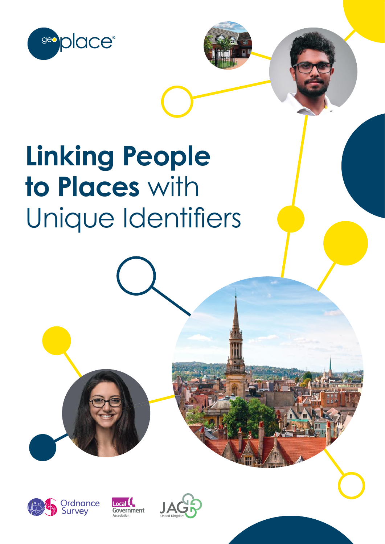

# **Linking People to Places** with Unique Identifiers





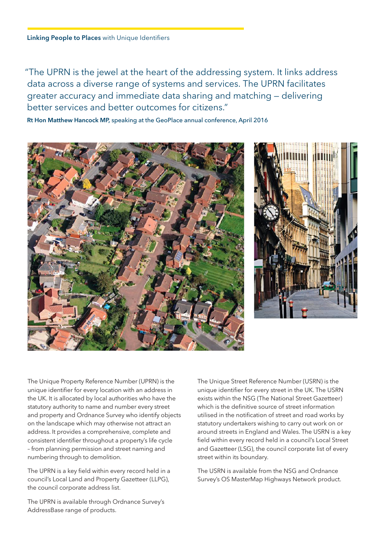"The UPRN is the jewel at the heart of the addressing system. It links address data across a diverse range of systems and services. The UPRN facilitates greater accuracy and immediate data sharing and matching — delivering better services and better outcomes for citizens."

**Rt Hon Matthew Hancock MP,** speaking at the GeoPlace annual conference, April 2016





The Unique Property Reference Number (UPRN) is the unique identifier for every location with an address in the UK. It is allocated by local authorities who have the statutory authority to name and number every street and property and Ordnance Survey who identify objects on the landscape which may otherwise not attract an address. It provides a comprehensive, complete and consistent identifier throughout a property's life cycle – from planning permission and street naming and numbering through to demolition.

The UPRN is a key field within every record held in a council's Local Land and Property Gazetteer (LLPG), the council corporate address list.

The UPRN is available through Ordnance Survey's AddressBase range of products.

The Unique Street Reference Number (USRN) is the unique identifier for every street in the UK. The USRN exists within the NSG (The National Street Gazetteer) which is the definitive source of street information utilised in the notification of street and road works by statutory undertakers wishing to carry out work on or around streets in England and Wales. The USRN is a key field within every record held in a council's Local Street and Gazetteer (LSG), the council corporate list of every street within its boundary.

The USRN is available from the NSG and Ordnance Survey's OS MasterMap Highways Network product.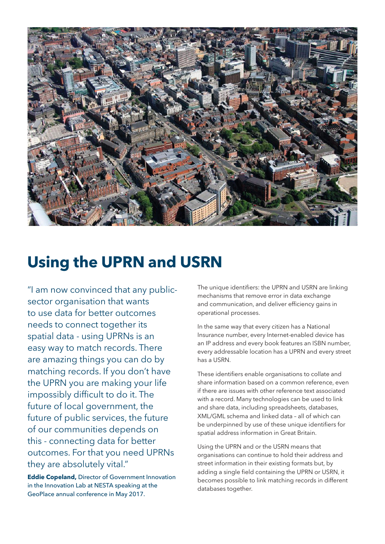

### **Using the UPRN and USRN**

"I am now convinced that any publicsector organisation that wants to use data for better outcomes needs to connect together its spatial data - using UPRNs is an easy way to match records. There are amazing things you can do by matching records. If you don't have the UPRN you are making your life impossibly difficult to do it. The future of local government, the future of public services, the future of our communities depends on this - connecting data for better outcomes. For that you need UPRNs they are absolutely vital."

**Eddie Copeland,** Director of Government Innovation in the Innovation Lab at NESTA speaking at the GeoPlace annual conference in May 2017.

The unique identifiers: the UPRN and USRN are linking mechanisms that remove error in data exchange and communication, and deliver efficiency gains in operational processes.

In the same way that every citizen has a National Insurance number, every Internet-enabled device has an IP address and every book features an ISBN number, every addressable location has a UPRN and every street has a USRN.

These identifiers enable organisations to collate and share information based on a common reference, even if there are issues with other reference text associated with a record. Many technologies can be used to link and share data, including spreadsheets, databases, XML/GML schema and linked data – all of which can be underpinned by use of these unique identifiers for spatial address information in Great Britain.

Using the UPRN and or the USRN means that organisations can continue to hold their address and street information in their existing formats but, by adding a single field containing the UPRN or USRN, it becomes possible to link matching records in different databases together.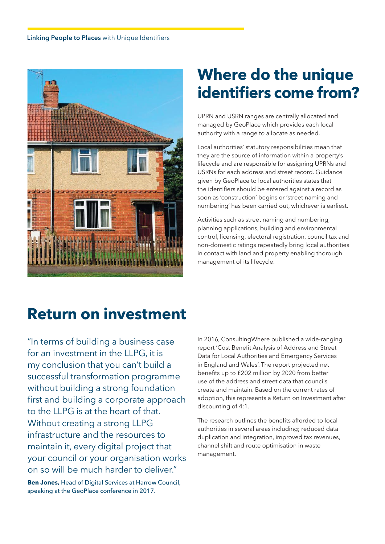

## **Where do the unique identifiers come from?**

UPRN and USRN ranges are centrally allocated and managed by GeoPlace which provides each local authority with a range to allocate as needed.

Local authorities' statutory responsibilities mean that they are the source of information within a property's lifecycle and are responsible for assigning UPRNs and USRNs for each address and street record. Guidance given by GeoPlace to local authorities states that the identifiers should be entered against a record as soon as 'construction' begins or 'street naming and numbering' has been carried out, whichever is earliest.

Activities such as street naming and numbering, planning applications, building and environmental control, licensing, electoral registration, council tax and non-domestic ratings repeatedly bring local authorities in contact with land and property enabling thorough management of its lifecycle.

### **Return on investment**

"In terms of building a business case for an investment in the LLPG, it is my conclusion that you can't build a successful transformation programme without building a strong foundation first and building a corporate approach to the LLPG is at the heart of that. Without creating a strong LLPG infrastructure and the resources to maintain it, every digital project that your council or your organisation works on so will be much harder to deliver."

**Ben Jones,** Head of Digital Services at Harrow Council, speaking at the GeoPlace conference in 2017.

In 2016, ConsultingWhere published a wide-ranging report 'Cost Benefit Analysis of Address and Street Data for Local Authorities and Emergency Services in England and Wales'. The report projected net benefits up to £202 million by 2020 from better use of the address and street data that councils create and maintain. Based on the current rates of adoption, this represents a Return on Investment after discounting of 4:1.

The research outlines the benefits afforded to local authorities in several areas including; reduced data duplication and integration, improved tax revenues, channel shift and route optimisation in waste management.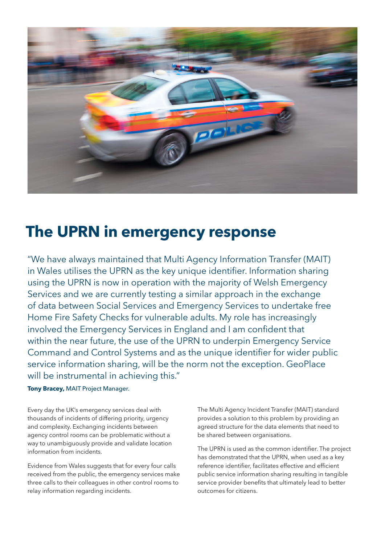

### **The UPRN in emergency response**

"We have always maintained that Multi Agency Information Transfer (MAIT) in Wales utilises the UPRN as the key unique identifier. Information sharing using the UPRN is now in operation with the majority of Welsh Emergency Services and we are currently testing a similar approach in the exchange of data between Social Services and Emergency Services to undertake free Home Fire Safety Checks for vulnerable adults. My role has increasingly involved the Emergency Services in England and I am confident that within the near future, the use of the UPRN to underpin Emergency Service Command and Control Systems and as the unique identifier for wider public service information sharing, will be the norm not the exception. GeoPlace will be instrumental in achieving this."

#### **Tony Bracey,** MAIT Project Manager.

Every day the UK's emergency services deal with thousands of incidents of differing priority, urgency and complexity. Exchanging incidents between agency control rooms can be problematic without a way to unambiguously provide and validate location information from incidents.

Evidence from Wales suggests that for every four calls received from the public, the emergency services make three calls to their colleagues in other control rooms to relay information regarding incidents.

The Multi Agency Incident Transfer (MAIT) standard provides a solution to this problem by providing an agreed structure for the data elements that need to be shared between organisations.

The UPRN is used as the common identifier. The project has demonstrated that the UPRN, when used as a key reference identifier, facilitates effective and efficient public service information sharing resulting in tangible service provider benefits that ultimately lead to better outcomes for citizens.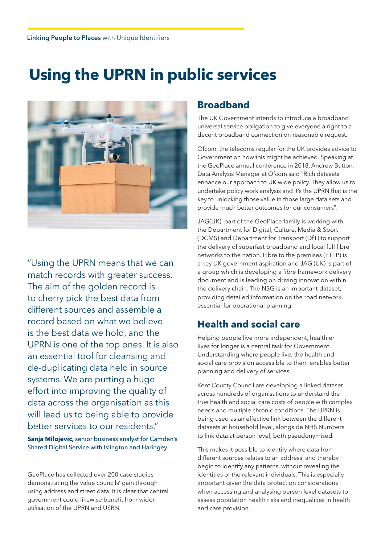### **Using the UPRN in public services**



"Using the UPRN means that we can match records with greater success. The aim of the golden record is to cherry pick the best data from different sources and assemble a record based on what we believe is the best data we hold, and the UPRN is one of the top ones. It is also an essential tool for cleansing and de-duplicating data held in source systems. We are putting a huge effort into improving the quality of data across the organisation as this will lead us to being able to provide better services to our residents."

**Sanja Milojevic,** senior business analyst for Camden's Shared Digital Service with Islington and Haringey.

GeoPlace has collected over 200 case studies demonstrating the value councils' gain through using address and street data. It is clear that central government could likewise benefit from wider utilisation of the UPRN and USRN.

#### **Broadband**

The UK Government intends to introduce a broadband universal service obligation to give everyone a right to a decent broadband connection on reasonable request.

Ofcom, the telecoms regular for the UK provides advice to Government on how this might be achieved. Speaking at the GeoPlace annual conference in 2018, Andrew Button, Data Analysis Manager at Ofcom said "Rich datasets enhance our approach to UK wide policy. They allow us to undertake policy work analysis and it's the UPRN that is the key to unlocking those value in those large data sets and provide much better outcomes for our consumers".

JAG(UK), part of the GeoPlace family is working with the Department for Digital, Culture, Media & Sport (DCMS) and Department for Transport (DfT) to support the delivery of superfast broadband and local full fibre networks to the nation. Fibre to the premises (FTTP) is a key UK government aspiration and JAG (UK) is part of a group which is developing a fibre framework delivery document and is leading on driving innovation within the delivery chain. The NSG is an important dataset, providing detailed information on the road network, essential for operational planning.

#### **Health and social care**

Helping people live more independent, healthier lives for longer is a central task for Government. Understanding where people live, the health and social care provision accessible to them enables better planning and delivery of services.

Kent County Council are developing a linked dataset across hundreds of organisations to understand the true health and social care costs of people with complex needs and multiple chronic conditions. The UPRN is being used as an effective link between the different datasets at household level, alongside NHS Numbers to link data at person level, both pseudonymised.

This makes it possible to identify where data from different sources relates to an address, and thereby begin to identify any patterns, without revealing the identities of the relevant individuals. This is especially important given the data protection considerations when accessing and analysing person level datasets to assess population health risks and inequalities in health and care provision.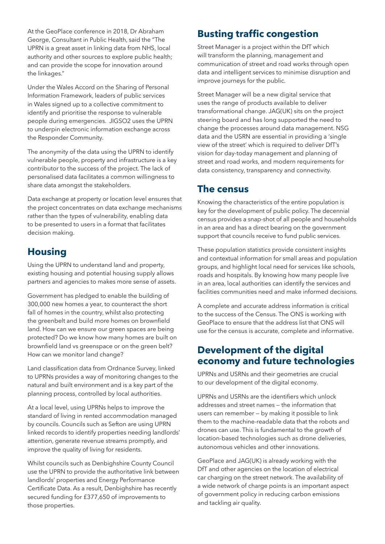At the GeoPlace conference in 2018, Dr Abraham George, Consultant in Public Health, said the "The UPRN is a great asset in linking data from NHS, local authority and other sources to explore public health; and can provide the scope for innovation around the linkages."

Under the Wales Accord on the Sharing of Personal Information Framework, leaders of public services in Wales signed up to a collective commitment to identify and prioritise the response to vulnerable people during emergencies. JIGSO2 uses the UPRN to underpin electronic information exchange across the Responder Community.

The anonymity of the data using the UPRN to identify vulnerable people, property and infrastructure is a key contributor to the success of the project. The lack of personalised data facilitates a common willingness to share data amongst the stakeholders.

Data exchange at property or location level ensures that the project concentrates on data exchange mechanisms rather than the types of vulnerability, enabling data to be presented to users in a format that facilitates decision making.

#### **Housing**

Using the UPRN to understand land and property, existing housing and potential housing supply allows partners and agencies to makes more sense of assets.

Government has pledged to enable the building of 300,000 new homes a year, to counteract the short fall of homes in the country, whilst also protecting the greenbelt and build more homes on brownfield land. How can we ensure our green spaces are being protected? Do we know how many homes are built on brownfield land vs greenspace or on the green belt? How can we monitor land change?

Land classification data from Ordnance Survey, linked to UPRNs provides a way of monitoring changes to the natural and built environment and is a key part of the planning process, controlled by local authorities.

At a local level, using UPRNs helps to improve the standard of living in rented accommodation managed by councils. Councils such as Sefton are using UPRN linked records to identify properties needing landlords' attention, generate revenue streams promptly, and improve the quality of living for residents.

Whilst councils such as Denbighshire County Council use the UPRN to provide the authoritative link between landlords' properties and Energy Performance Certificate Data. As a result, Denbighshire has recently secured funding for £377,650 of improvements to those properties.

### **Busting traffic congestion**

Street Manager is a project within the DfT which will transform the planning, management and communication of street and road works through open data and intelligent services to minimise disruption and improve journeys for the public.

Street Manager will be a new digital service that uses the range of products available to deliver transformational change. JAG(UK) sits on the project steering board and has long supported the need to change the processes around data management. NSG data and the USRN are essential in providing a 'single view of the street' which is required to deliver DfT's vision for day-today management and planning of street and road works, and modern requirements for data consistency, transparency and connectivity.

#### **The census**

Knowing the characteristics of the entire population is key for the development of public policy. The decennial census provides a snap-shot of all people and households in an area and has a direct bearing on the government support that councils receive to fund public services.

These population statistics provide consistent insights and contextual information for small areas and population groups, and highlight local need for services like schools, roads and hospitals. By knowing how many people live in an area, local authorities can identify the services and facilities communities need and make informed decisions.

A complete and accurate address information is critical to the success of the Census. The ONS is working with GeoPlace to ensure that the address list that ONS will use for the census is accurate, complete and informative.

#### **Development of the digital economy and future technologies**

UPRNs and USRNs and their geometries are crucial to our development of the digital economy.

UPRNs and USRNs are the identifiers which unlock addresses and street names — the information that users can remember — by making it possible to link them to the machine-readable data that the robots and drones can use. This is fundamental to the growth of location-based technologies such as drone deliveries, autonomous vehicles and other innovations.

GeoPlace and JAG(UK) is already working with the DfT and other agencies on the location of electrical car charging on the street network. The availability of a wide network of charge points is an important aspect of government policy in reducing carbon emissions and tackling air quality.